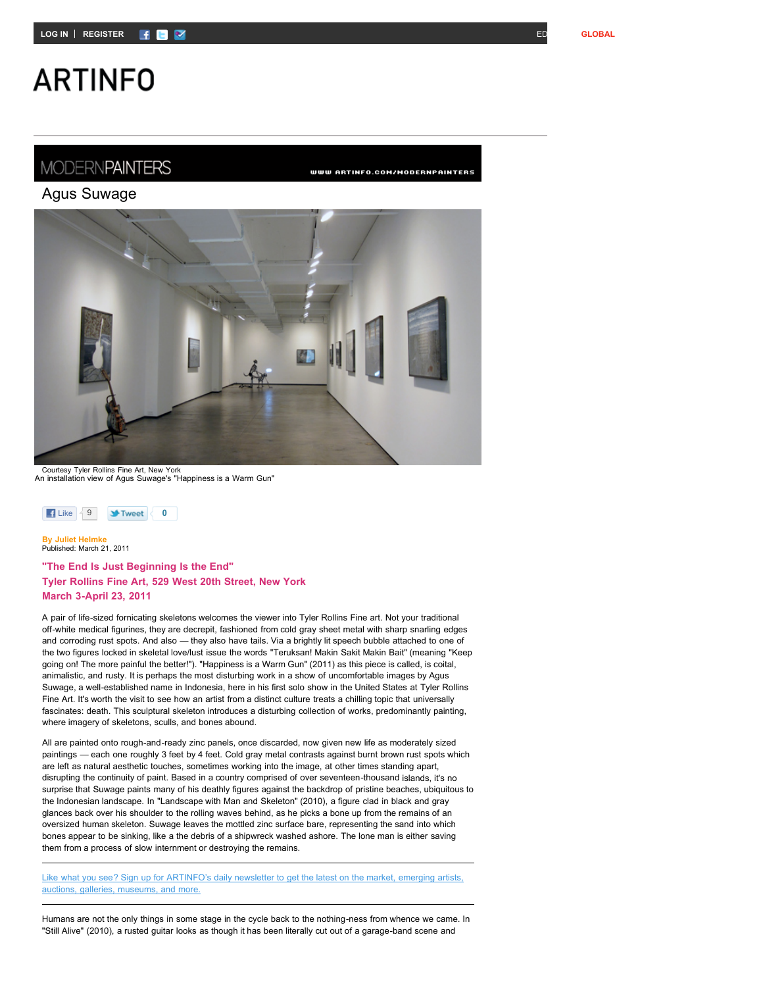## **ARTINFO**

### **MODERNPAINTERS**

WWW ARTINFO.COM/MODERNPAINTERS





Courtesy Tyler Rollins Fine Art, New York An installation view of Agus Suwage's "Happiness is a Warm Gun"



**By Juliet Helmke** Published: March 21, 2011

#### **"The End Is Just Beginning Is the End" Tyler Rollins Fine Art, 529 West 20th Street, New York March 3-April 23, 2011**

A pair of life-sized fornicating skeletons welcomes the viewer into Tyler Rollins Fine art. Not your traditional off-white medical figurines, they are decrepit, fashioned from cold gray sheet metal with sharp snarling edges and corroding rust spots. And also — they also have tails. Via a brightly lit speech bubble attached to one of the two figures locked in skeletal love/lust issue the words "Teruksan! Makin Sakit Makin Bait" (meaning "Keep going on! The more painful the better!"). "Happiness is a Warm Gun" (2011) as this piece is called, is coital, animalistic, and rusty. It is perhaps the most disturbing work in a show of uncomfortable images by Agus Suwage, a well-established name in Indonesia, here in his first solo show in the United States at Tyler Rollins Fine Art. It's worth the visit to see how an artist from a distinct culture treats a chilling topic that universally fascinates: death. This sculptural skeleton introduces a disturbing collection of works, predominantly painting, where imagery of skeletons, sculls, and bones abound.

All are painted onto rough-and-ready zinc panels, once discarded, now given new life as moderately sized paintings — each one roughly 3 feet by 4 feet. Cold gray metal contrasts against burnt brown rust spots which are left as natural aesthetic touches, sometimes working into the image, at other times standing apart, disrupting the continuity of paint. Based in a country comprised of over seventeen-thousand islands, it's no surprise that Suwage paints many of his deathly figures against the backdrop of pristine beaches, ubiquitous to the Indonesian landscape. In "Landscape with Man and Skeleton" (2010), a figure clad in black and gray glances back over his shoulder to the rolling waves behind, as he picks a bone up from the remains of an oversized human skeleton. Suwage leaves the mottled zinc surface bare, representing the sand into which bones appear to be sinking, like a the debris of a shipwreck washed ashore. The lone man is either saving them from a process of slow internment or destroying the remains.

Like what you see? Sign up for [ARTINFO's](http://www.artinfo.com/newsletter/) daily newsletter to get the latest on the market, emerging artists, auctions, galleries, museums, and more.

Humans are not the only things in some stage in the cycle back to the nothing-ness from whence we came. In "Still Alive" (2010), a rusted guitar looks as though it has been literally cut out of a garage-band scene and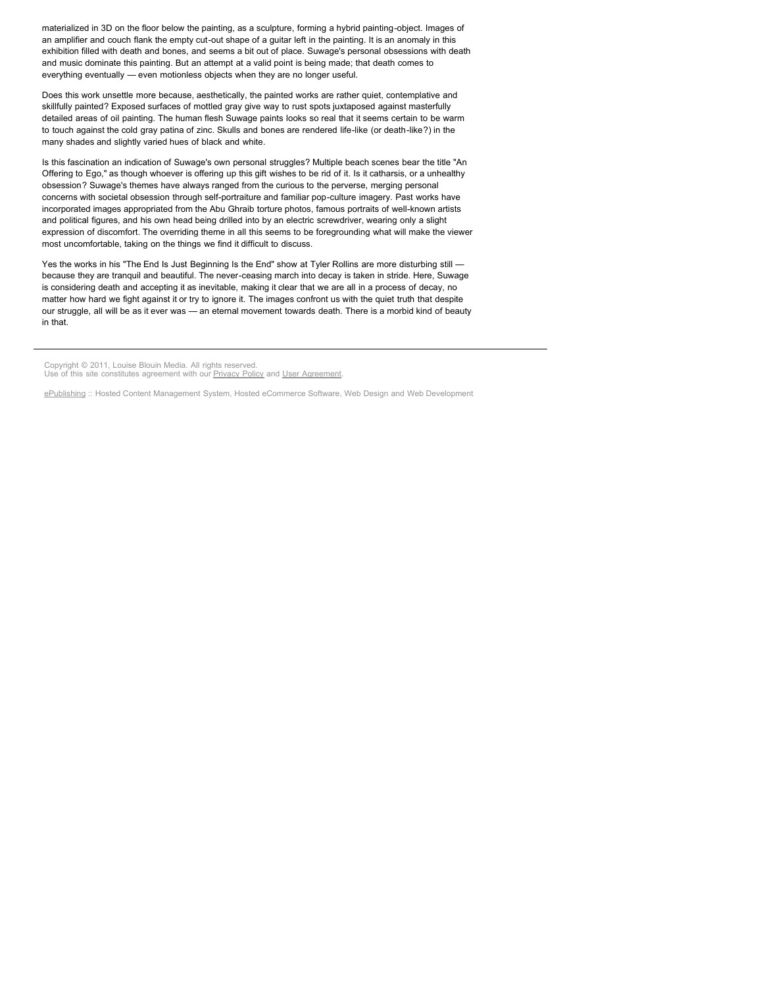materialized in 3D on the floor below the painting, as a sculpture, forming a hybrid painting-object. Images of an amplifier and couch flank the empty cut-out shape of a guitar left in the painting. It is an anomaly in this exhibition filled with death and bones, and seems a bit out of place. Suwage's personal obsessions with death and music dominate this painting. But an attempt at a valid point is being made; that death comes to everything eventually — even motionless objects when they are no longer useful.

Does this work unsettle more because, aesthetically, the painted works are rather quiet, contemplative and skillfully painted? Exposed surfaces of mottled gray give way to rust spots juxtaposed against masterfully detailed areas of oil painting. The human flesh Suwage paints looks so real that it seems certain to be warm to touch against the cold gray patina of zinc. Skulls and bones are rendered life-like (or death-like?) in the many shades and slightly varied hues of black and white.

Is this fascination an indication of Suwage's own personal struggles? Multiple beach scenes bear the title "An Offering to Ego," as though whoever is offering up this gift wishes to be rid of it. Is it catharsis, or a unhealthy obsession? Suwage's themes have always ranged from the curious to the perverse, merging personal concerns with societal obsession through self-portraiture and familiar pop-culture imagery. Past works have incorporated images appropriated from the Abu Ghraib torture photos, famous portraits of well-known artists and political figures, and his own head being drilled into by an electric screwdriver, wearing only a slight expression of discomfort. The overriding theme in all this seems to be foregrounding what will make the viewer most uncomfortable, taking on the things we find it difficult to discuss.

Yes the works in his "The End Is Just Beginning Is the End" show at Tyler Rollins are more disturbing still because they are tranquil and beautiful. The never-ceasing march into decay is taken in stride. Here, Suwage is considering death and accepting it as inevitable, making it clear that we are all in a process of decay, no matter how hard we fight against it or try to ignore it. The images confront us with the quiet truth that despite our struggle, all will be as it ever was — an eternal movement towards death. There is a morbid kind of beauty in that.

Copyright © 2011, Louise Blouin Media. All rights reserved. Use of this site constitutes agreement with our **Privacy Policy** and [User Agreement](http://www.artinfo.com/user_agreement).

[ePublishing](http://www.ePublishing.com/) :: Hosted Content Management System, Hosted eCommerce Software, Web Design and Web Development